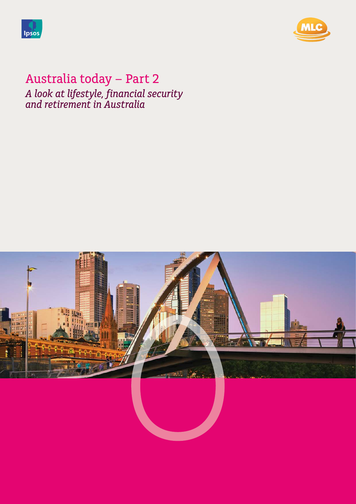



# Australia today - Part 2 *A look at lifestyle, financial security and retirement in Australia*

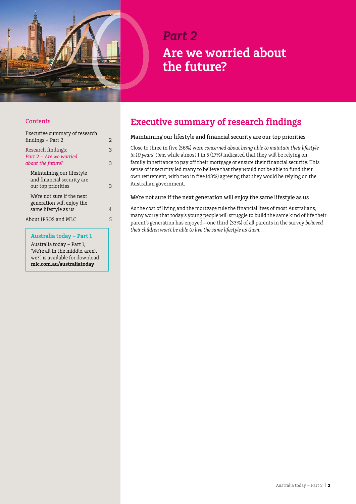

# *Part 2* **Are we worried about the future?**

#### **Contents**

| Executive summary of research<br>findings – Part 2                              | 2      |
|---------------------------------------------------------------------------------|--------|
| Research findings:<br>Part 2 - Are we worried<br>about the future?              | 3<br>3 |
| Maintaining our lifestyle<br>and financial security are<br>our top priorities   | 3      |
| We're not sure if the next<br>generation will enjoy the<br>same lifestyle as us | 4      |
| About IPSOS and MLC                                                             | 5      |

#### **Australia today – Part 1**

Australia today – Part 1, 'We're all in the middle, aren't we?', is available for download **[mlc.com.au/australiatoday](http://www.mlc.com.au/australiatoday)**

## **Executive summary of research findings**

#### Maintaining our lifestyle and financial security are our top priorities

Close to three in five (56%) were *concerned about being able to maintain their lifestyle in 10 years' time*, while almost 1 in 5 (17%) indicated that they will be relying on family inheritance to pay off their mortgage or ensure their financial security. This sense of insecurity led many to believe that they would not be able to fund their own retirement, with two in five (43%) agreeing that they would be relying on the Australian government.

#### We're not sure if the next generation will enjoy the same lifestyle as us

As the cost of living and the mortgage rule the financial lives of most Australians, many worry that today's young people will struggle to build the same kind of life their parent's generation has enjoyed—one third (33%) of all parents in the survey *believed their children won`t be able to live the same lifestyle as them*.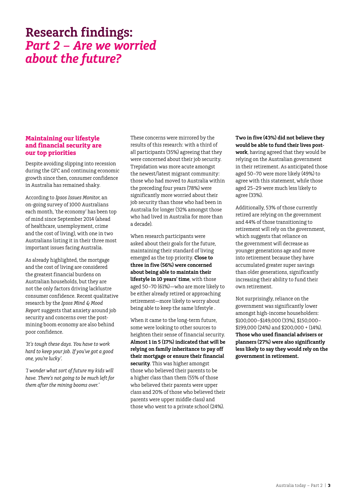# <span id="page-2-0"></span>**Research findings:** *Part 2 – Are we worried about the future?*

#### **Maintaining our lifestyle and financial security are our top priorities**

Despite avoiding slipping into recession during the GFC and continuing economic growth since then, consumer confidence in Australia has remained shaky.

According to *Ipsos Issues Monitor*, an on-going survey of 1000 Australians each month, 'the economy' has been top of mind since September 2014 (ahead of healthcare, unemployment, crime and the cost of living), with one in two Australians listing it in their three most important issues facing Australia.

As already highlighted, the mortgage and the cost of living are considered the greatest financial burdens on Australian households, but they are not the only factors driving lacklustre consumer confidence. Recent qualitative research by the *Ipsos Mind & Mood Report* suggests that anxiety around job security and concerns over the postmining boom economy are also behind poor confidence.

*'It's tough these days. You have to work hard to keep your job. If you've got a good one, you're lucky'.* 

*'I wonder what sort of future my kids will have. There's not going to be much left for them after the mining booms over.'*

These concerns were mirrored by the results of this research: with a third of all participants (35%) agreeing that they were concerned about their job security. Trepidation was more acute amongst the newest/latest migrant community: those who had moved to Australia within the preceding four years (78%) were significantly more worried about their job security than those who had been in Australia for longer (32% amongst those who had lived in Australia for more than a decade).

When research participants were asked about their goals for the future, maintaining their standard of living emerged as the top priority. **Close to three in five (56%) were concerned about being able to maintain their lifestyle in 10 years' time**, with those aged 50–70 (61%)—who are more likely to be either already retired or approaching retirement—more likely to worry about being able to keep the same lifestyle .

When it came to the long-term future, some were looking to other sources to heighten their sense of financial security. **Almost 1 in 5 (17%) indicated that will be relying on family inheritance to pay off their mortgage or ensure their financial security**. This was higher amongst those who believed their parents to be a higher class than them (55% of those who believed their parents were upper class and 20% of those who believed their parents were upper middle class) and those who went to a private school (24%).

**Two in five (43%) did not believe they would be able to fund their lives postwork**, having agreed that they would be relying on the Australian government in their retirement. As anticipated those aged 50–70 were more likely (49%) to agree with this statement, while those aged 25–29 were much less likely to agree (33%).

Additionally, 53% of those currently retired are relying on the government and 44% of those transitioning to retirement will rely on the government, which suggests that reliance on the government will decrease as younger generations age and move into retirement because they have accumulated greater super savings than older generations, significantly increasing their ability to fund their own retirement.

Not surprisingly, reliance on the government was significantly lower amongst high-income householders: \$100,000–\$149,000 (33%), \$150,000– \$199,000 (24%) and \$200,000 + (14%). **Those who used financial advisers or planners (27%) were also significantly less likely to say they would rely on the government in retirement.**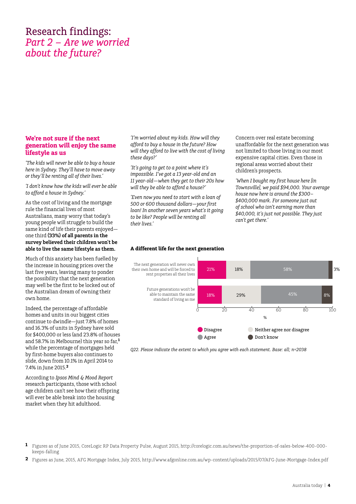## <span id="page-3-0"></span>Research findings: *Part 2 – Are we worried about the future?*

#### **We're not sure if the next generation will enjoy the same lifestyle as us**

*'The kids will never be able to buy a house here in Sydney. They'll have to move away or they'll be renting all of their lives.'*

*'I don't know how the kids will ever be able to afford a house in Sydney.'*

As the cost of living and the mortgage rule the financial lives of most Australians, many worry that today's young people will struggle to build the same kind of life their parents enjoyed one third **(33%) of all parents in the survey believed their children won`t be able to live the same lifestyle as them.** 

Much of this anxiety has been fuelled by the increase in housing prices over the last five years, leaving many to ponder the possibility that the next generation may well be the first to be locked out of the Australian dream of owning their own home.

Indeed, the percentage of affordable homes and units in our biggest cities continue to dwindle—just 7.8% of homes and 16.3% of units in Sydney have sold for \$400,000 or less (and 23.8% of houses and 58.7% in Melbourne) this year so far,**<sup>1</sup>** while the percentage of mortgages held by first-home buyers also continues to slide, down from 10.1% in April 2014 to 7.4% in June 2015.**<sup>2</sup>**

According to *Ipsos Mind & Mood Report* research participants, those with school age children can't see how their offspring will ever be able break into the housing market when they hit adulthood.

*'I'm worried about my kids. How will they afford to buy a house in the future? How will they afford to live with the cost of living these days?'*

*'It's going to get to a point where it's impossible. I've got a 13 year-old and an 11 year-old—when they get to their 20s how will they be able to afford a house?'*

*'Even now you need to start with a loan of 500 or 600 thousand dollars—your first loan! In another seven years what's it going to be like? People will be renting all their lives.'*

**A different life for the next generation**

Concern over real estate becoming unaffordable for the next generation was not limited to those living in our most expensive capital cities. Even those in regional areas worried about their children's prospects.

*'When I bought my first house here [in Townsville], we paid \$94,000. Your average house now here is around the \$300– \$400,000 mark. For someone just out of school who isn't earning more than \$40,000, it's just not possible. They just can't get there.'*



*Q22. Please indicate the extent to which you agree with each statement. Base: all; n=2038*

- **1** Figures as of June 2015, CoreLogic RP Data Property Pulse, August 2015, http://corelogic.com.au/news/the-proportion-of-sales-below-400-000 keeps-falling
- **2** Figures as June, 2015, AFG Mortgage Index, July 2015, http://www.afgonline.com.au/wp-content/uploads/2015/07/AFG-June-Mortgage-Index.pdf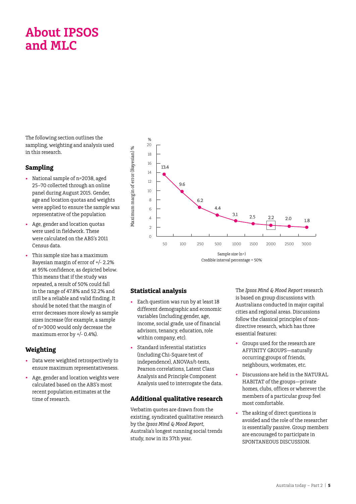# <span id="page-4-0"></span>**About IPSOS and MLC**

The following section outlines the sampling, weighting and analysis used in this research.

#### **Sampling**

- National sample of n=2038, aged 25–70 collected through an online panel during August 2015. Gender, age and location quotas and weights were applied to ensure the sample was representative of the population
- Age, gender and location quotas were used in fieldwork. These were calculated on the ABS's 2011 Census data.
- This sample size has a maximum Bayesian margin of error of +/- 2.2% at 95% confidence, as depicted below. This means that if the study was repeated, a result of 50% could fall in the range of 47.8% and 52.2% and still be a reliable and valid finding. It should be noted that the margin of error decreases more slowly as sample sizes increase (for example, a sample of n=3000 would only decrease the maximum error by +/- 0.4%).

### **Weighting**

- Data were weighted retrospectively to ensure maximum representativeness.
- Age, gender and location weights were calculated based on the ABS's most recent population estimates at the time of research.



### **Statistical analysis**

- Each question was run by at least 18 different demographic and economic variables (including gender, age, income, social grade, use of financial advisors, tenancy, education, role within company, etc).
- Standard inferential statistics (including Chi-Square test of independence), ANOVAs/t-tests, Pearson correlations, Latent Class Analysis and Principle Component Analysis used to interrogate the data.

### **Additional qualitative research**

Verbatim quotes are drawn from the existing, syndicated qualitative research by the *Ipsos Mind & Mood Report*, Australia's longest running social trends study, now in its 37th year.

The *Ipsos Mind & Mood Report* research is based on group discussions with Australians conducted in major capital cities and regional areas. Discussions follow the classical principles of nondirective research, which has three essential features:

- Groups used for the research are AFFINITY GROUPS—naturally occurring groups of friends, neighbours, workmates, etc.
- Discussions are held in the NATURAL HABITAT of the groups—private homes, clubs, offices or wherever the members of a particular group feel most comfortable.
- The asking of direct questions is avoided and the role of the researcher is essentially passive. Group members are encouraged to participate in SPONTANEOUS DISCUSSION.